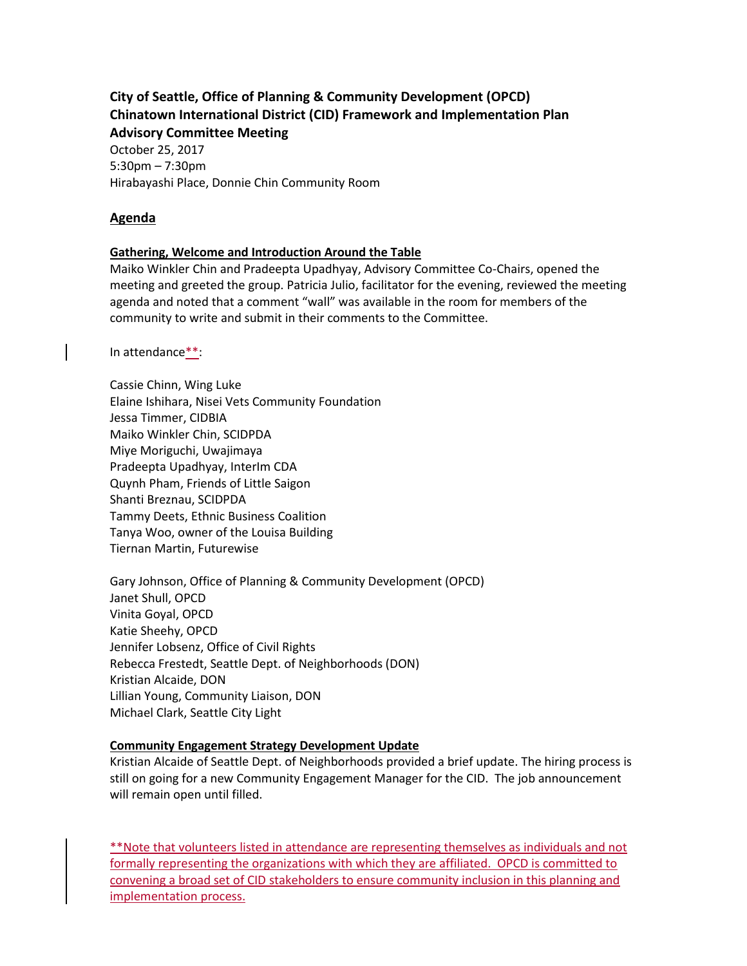# **City of Seattle, Office of Planning & Community Development (OPCD) Chinatown International District (CID) Framework and Implementation Plan Advisory Committee Meeting**

October 25, 2017 5:30pm – 7:30pm Hirabayashi Place, Donnie Chin Community Room

### **Agenda**

### **Gathering, Welcome and Introduction Around the Table**

Maiko Winkler Chin and Pradeepta Upadhyay, Advisory Committee Co-Chairs, opened the meeting and greeted the group. Patricia Julio, facilitator for the evening, reviewed the meeting agenda and noted that a comment "wall" was available in the room for members of the community to write and submit in their comments to the Committee.

In attendance\*\*:

Cassie Chinn, Wing Luke Elaine Ishihara, Nisei Vets Community Foundation Jessa Timmer, CIDBIA Maiko Winkler Chin, SCIDPDA Miye Moriguchi, Uwajimaya Pradeepta Upadhyay, InterIm CDA Quynh Pham, Friends of Little Saigon Shanti Breznau, SCIDPDA Tammy Deets, Ethnic Business Coalition Tanya Woo, owner of the Louisa Building Tiernan Martin, Futurewise

Gary Johnson, Office of Planning & Community Development (OPCD) Janet Shull, OPCD Vinita Goyal, OPCD Katie Sheehy, OPCD Jennifer Lobsenz, Office of Civil Rights Rebecca Frestedt, Seattle Dept. of Neighborhoods (DON) Kristian Alcaide, DON Lillian Young, Community Liaison, DON Michael Clark, Seattle City Light

### **Community Engagement Strategy Development Update**

Kristian Alcaide of Seattle Dept. of Neighborhoods provided a brief update. The hiring process is still on going for a new Community Engagement Manager for the CID. The job announcement will remain open until filled.

\*\*Note that volunteers listed in attendance are representing themselves as individuals and not formally representing the organizations with which they are affiliated. OPCD is committed to convening a broad set of CID stakeholders to ensure community inclusion in this planning and implementation process.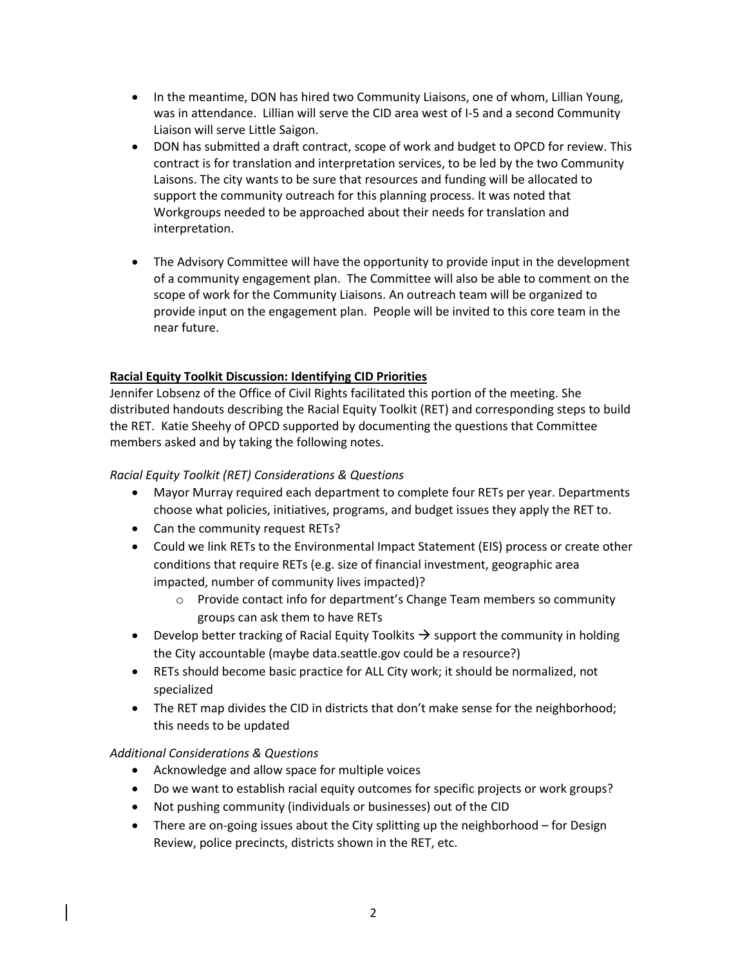- In the meantime, DON has hired two Community Liaisons, one of whom, Lillian Young, was in attendance. Lillian will serve the CID area west of I-5 and a second Community Liaison will serve Little Saigon.
- DON has submitted a draft contract, scope of work and budget to OPCD for review. This contract is for translation and interpretation services, to be led by the two Community Laisons. The city wants to be sure that resources and funding will be allocated to support the community outreach for this planning process. It was noted that Workgroups needed to be approached about their needs for translation and interpretation.
- The Advisory Committee will have the opportunity to provide input in the development of a community engagement plan. The Committee will also be able to comment on the scope of work for the Community Liaisons. An outreach team will be organized to provide input on the engagement plan. People will be invited to this core team in the near future.

# **Racial Equity Toolkit Discussion: Identifying CID Priorities**

Jennifer Lobsenz of the Office of Civil Rights facilitated this portion of the meeting. She distributed handouts describing the Racial Equity Toolkit (RET) and corresponding steps to build the RET. Katie Sheehy of OPCD supported by documenting the questions that Committee members asked and by taking the following notes.

### *Racial Equity Toolkit (RET) Considerations & Questions*

- Mayor Murray required each department to complete four RETs per year. Departments choose what policies, initiatives, programs, and budget issues they apply the RET to.
- Can the community request RETs?
- Could we link RETs to the Environmental Impact Statement (EIS) process or create other conditions that require RETs (e.g. size of financial investment, geographic area impacted, number of community lives impacted)?
	- o Provide contact info for department's Change Team members so community groups can ask them to have RETs
- Develop better tracking of Racial Equity Toolkits  $\rightarrow$  support the community in holding the City accountable (maybe data.seattle.gov could be a resource?)
- RETs should become basic practice for ALL City work; it should be normalized, not specialized
- The RET map divides the CID in districts that don't make sense for the neighborhood; this needs to be updated

# *Additional Considerations & Questions*

- Acknowledge and allow space for multiple voices
- Do we want to establish racial equity outcomes for specific projects or work groups?
- Not pushing community (individuals or businesses) out of the CID
- There are on-going issues about the City splitting up the neighborhood for Design Review, police precincts, districts shown in the RET, etc.

2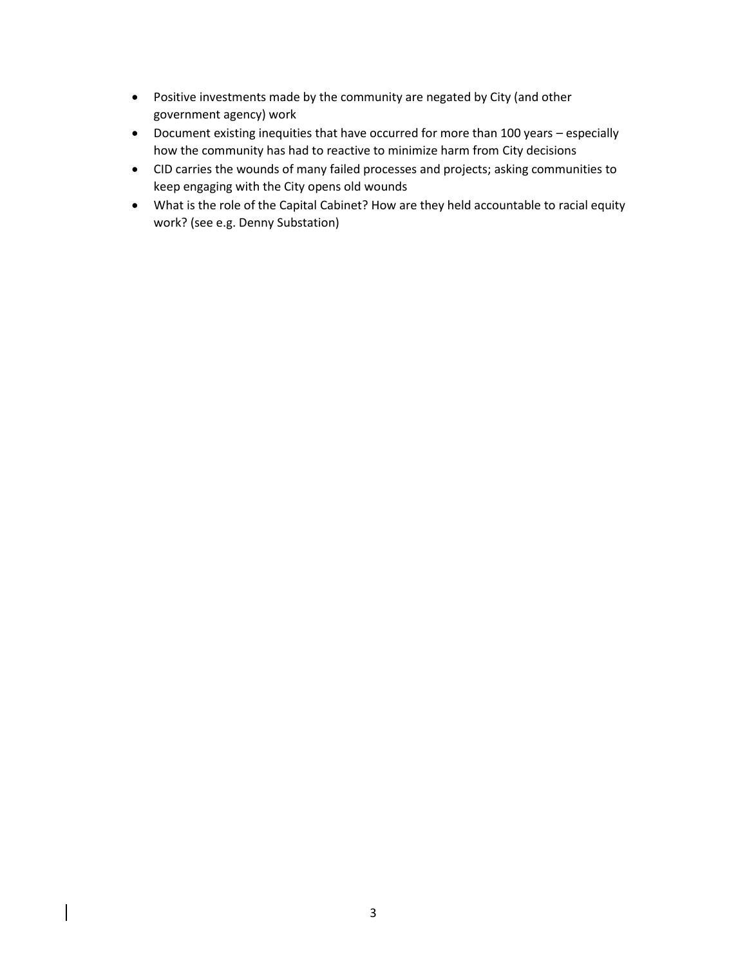- Positive investments made by the community are negated by City (and other government agency) work
- Document existing inequities that have occurred for more than 100 years especially how the community has had to reactive to minimize harm from City decisions
- CID carries the wounds of many failed processes and projects; asking communities to keep engaging with the City opens old wounds
- What is the role of the Capital Cabinet? How are they held accountable to racial equity work? (see e.g. Denny Substation)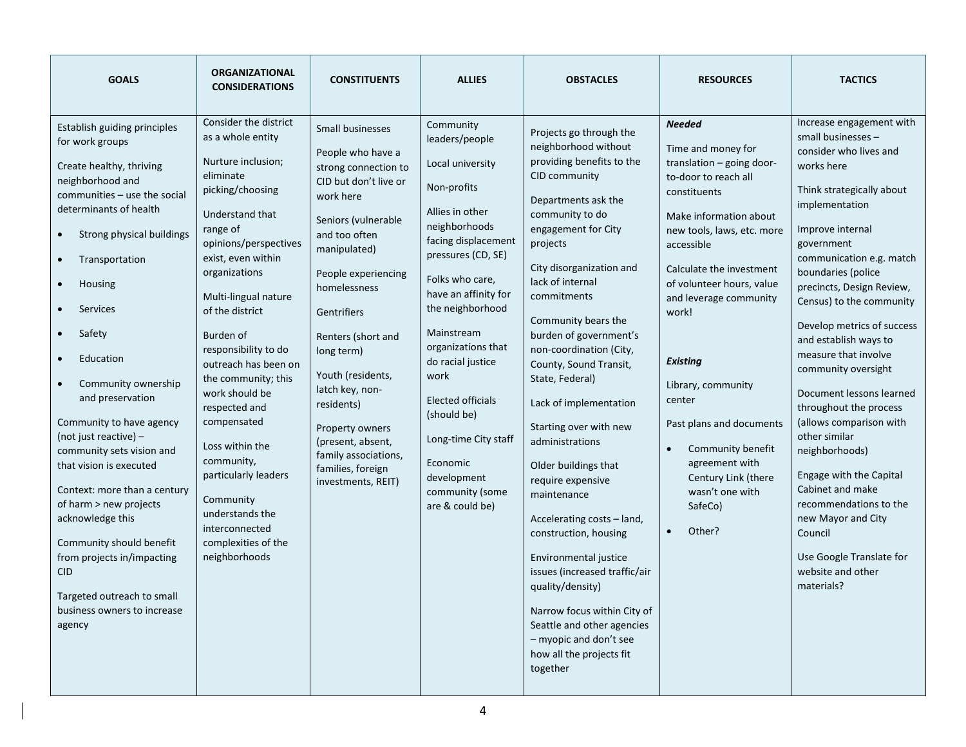| <b>GOALS</b>                                                                                                                                                                                                                                                                                                                                                                                                                                                                                                                                                                                                                                                          | <b>ORGANIZATIONAL</b><br><b>CONSIDERATIONS</b>                                                                                                                                                                                                                                                                                                                                                                                                                                                                                       | <b>CONSTITUENTS</b>                                                                                                                                                                                                                                                                                                                                                                                                    | <b>ALLIES</b>                                                                                                                                                                                                                                                                                                                                                                                                       | <b>OBSTACLES</b>                                                                                                                                                                                                                                                                                                                                                                                                                                                                                                                                                                                                                                                                                                                                                          | <b>RESOURCES</b>                                                                                                                                                                                                                                                                                                                                                                                                                                                             | <b>TACTICS</b>                                                                                                                                                                                                                                                                                                                                                                                                                                                                                                                                                                                                                                                                        |
|-----------------------------------------------------------------------------------------------------------------------------------------------------------------------------------------------------------------------------------------------------------------------------------------------------------------------------------------------------------------------------------------------------------------------------------------------------------------------------------------------------------------------------------------------------------------------------------------------------------------------------------------------------------------------|--------------------------------------------------------------------------------------------------------------------------------------------------------------------------------------------------------------------------------------------------------------------------------------------------------------------------------------------------------------------------------------------------------------------------------------------------------------------------------------------------------------------------------------|------------------------------------------------------------------------------------------------------------------------------------------------------------------------------------------------------------------------------------------------------------------------------------------------------------------------------------------------------------------------------------------------------------------------|---------------------------------------------------------------------------------------------------------------------------------------------------------------------------------------------------------------------------------------------------------------------------------------------------------------------------------------------------------------------------------------------------------------------|---------------------------------------------------------------------------------------------------------------------------------------------------------------------------------------------------------------------------------------------------------------------------------------------------------------------------------------------------------------------------------------------------------------------------------------------------------------------------------------------------------------------------------------------------------------------------------------------------------------------------------------------------------------------------------------------------------------------------------------------------------------------------|------------------------------------------------------------------------------------------------------------------------------------------------------------------------------------------------------------------------------------------------------------------------------------------------------------------------------------------------------------------------------------------------------------------------------------------------------------------------------|---------------------------------------------------------------------------------------------------------------------------------------------------------------------------------------------------------------------------------------------------------------------------------------------------------------------------------------------------------------------------------------------------------------------------------------------------------------------------------------------------------------------------------------------------------------------------------------------------------------------------------------------------------------------------------------|
| Establish guiding principles<br>for work groups<br>Create healthy, thriving<br>neighborhood and<br>communities - use the social<br>determinants of health<br>Strong physical buildings<br>Transportation<br>Housing<br>Services<br>Safety<br>$\bullet$<br>Education<br>Community ownership<br>$\bullet$<br>and preservation<br>Community to have agency<br>(not just reactive) -<br>community sets vision and<br>that vision is executed<br>Context: more than a century<br>of harm > new projects<br>acknowledge this<br>Community should benefit<br>from projects in/impacting<br><b>CID</b><br>Targeted outreach to small<br>business owners to increase<br>agency | Consider the district<br>as a whole entity<br>Nurture inclusion;<br>eliminate<br>picking/choosing<br>Understand that<br>range of<br>opinions/perspectives<br>exist, even within<br>organizations<br>Multi-lingual nature<br>of the district<br>Burden of<br>responsibility to do<br>outreach has been on<br>the community; this<br>work should be<br>respected and<br>compensated<br>Loss within the<br>community,<br>particularly leaders<br>Community<br>understands the<br>interconnected<br>complexities of the<br>neighborhoods | Small businesses<br>People who have a<br>strong connection to<br>CID but don't live or<br>work here<br>Seniors (vulnerable<br>and too often<br>manipulated)<br>People experiencing<br>homelessness<br>Gentrifiers<br>Renters (short and<br>long term)<br>Youth (residents,<br>latch key, non-<br>residents)<br>Property owners<br>(present, absent,<br>family associations,<br>families, foreign<br>investments, REIT) | Community<br>leaders/people<br>Local university<br>Non-profits<br>Allies in other<br>neighborhoods<br>facing displacement<br>pressures (CD, SE)<br>Folks who care.<br>have an affinity for<br>the neighborhood<br>Mainstream<br>organizations that<br>do racial justice<br>work<br><b>Elected officials</b><br>(should be)<br>Long-time City staff<br>Economic<br>development<br>community (some<br>are & could be) | Projects go through the<br>neighborhood without<br>providing benefits to the<br>CID community<br>Departments ask the<br>community to do<br>engagement for City<br>projects<br>City disorganization and<br>lack of internal<br>commitments<br>Community bears the<br>burden of government's<br>non-coordination (City,<br>County, Sound Transit,<br>State, Federal)<br>Lack of implementation<br>Starting over with new<br>administrations<br>Older buildings that<br>require expensive<br>maintenance<br>Accelerating costs - land,<br>construction, housing<br>Environmental justice<br>issues (increased traffic/air<br>quality/density)<br>Narrow focus within City of<br>Seattle and other agencies<br>- myopic and don't see<br>how all the projects fit<br>together | <b>Needed</b><br>Time and money for<br>translation - going door-<br>to-door to reach all<br>constituents<br>Make information about<br>new tools, laws, etc. more<br>accessible<br>Calculate the investment<br>of volunteer hours, value<br>and leverage community<br>work!<br><b>Existing</b><br>Library, community<br>center<br>Past plans and documents<br>Community benefit<br>$\bullet$<br>agreement with<br>Century Link (there<br>wasn't one with<br>SafeCo)<br>Other? | Increase engagement with<br>small businesses -<br>consider who lives and<br>works here<br>Think strategically about<br>implementation<br>Improve internal<br>government<br>communication e.g. match<br>boundaries (police<br>precincts, Design Review,<br>Census) to the community<br>Develop metrics of success<br>and establish ways to<br>measure that involve<br>community oversight<br>Document lessons learned<br>throughout the process<br>(allows comparison with<br>other similar<br>neighborhoods)<br>Engage with the Capital<br>Cabinet and make<br>recommendations to the<br>new Mayor and City<br>Council<br>Use Google Translate for<br>website and other<br>materials? |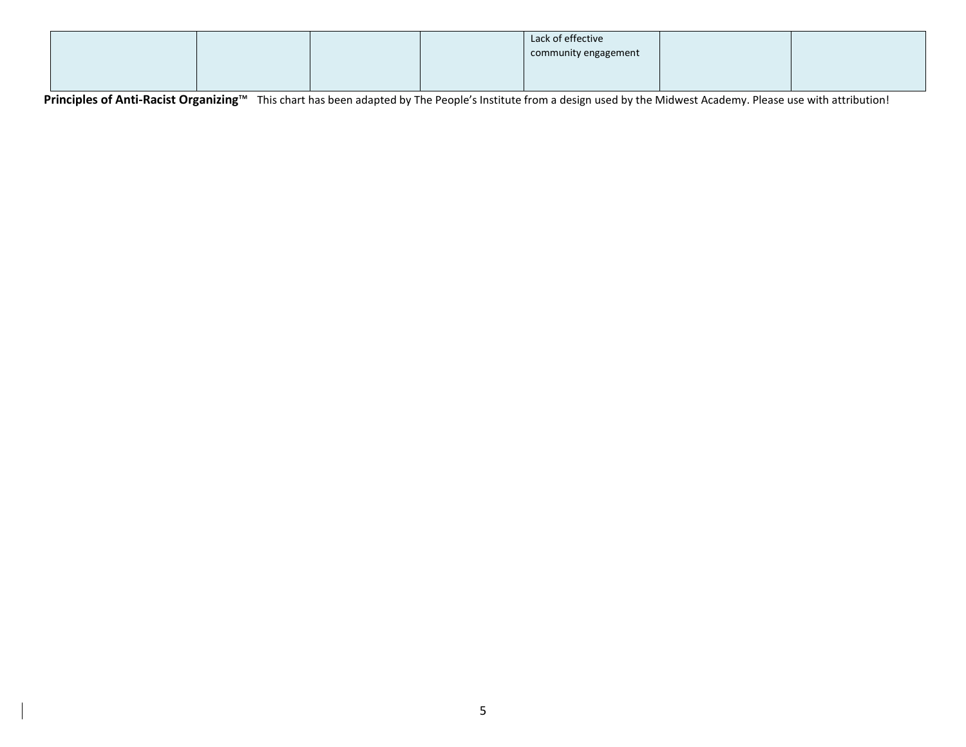|  |  | Lack of effective<br>community engagement |  |
|--|--|-------------------------------------------|--|
|  |  |                                           |  |

**Principles of Anti-Racist Organizing™** This chart has been adapted by The People's Institute from a design used by the Midwest Academy. Please use with attribution!